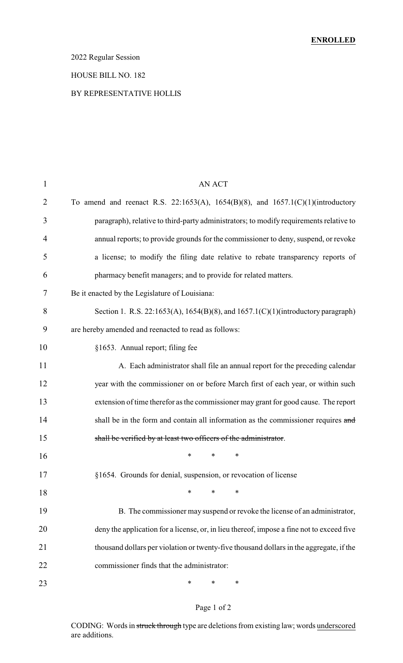### 2022 Regular Session

#### HOUSE BILL NO. 182

#### BY REPRESENTATIVE HOLLIS

| $\mathbf{1}$   | <b>AN ACT</b>                                                                             |
|----------------|-------------------------------------------------------------------------------------------|
| $\overline{2}$ | To amend and reenact R.S. 22:1653(A), 1654(B)(8), and 1657.1(C)(1)(introductory           |
| 3              | paragraph), relative to third-party administrators; to modify requirements relative to    |
| $\overline{4}$ | annual reports; to provide grounds for the commissioner to deny, suspend, or revoke       |
| 5              | a license; to modify the filing date relative to rebate transparency reports of           |
| 6              | pharmacy benefit managers; and to provide for related matters.                            |
| 7              | Be it enacted by the Legislature of Louisiana:                                            |
| 8              | Section 1. R.S. 22:1653(A), 1654(B)(8), and 1657.1(C)(1)(introductory paragraph)          |
| 9              | are hereby amended and reenacted to read as follows:                                      |
| 10             | §1653. Annual report; filing fee                                                          |
| 11             | A. Each administrator shall file an annual report for the preceding calendar              |
| 12             | year with the commissioner on or before March first of each year, or within such          |
| 13             | extension of time therefor as the commissioner may grant for good cause. The report       |
| 14             | shall be in the form and contain all information as the commissioner requires and         |
| 15             | shall be verified by at least two officers of the administrator.                          |
| 16             | ∗<br>$\ast$<br>∗                                                                          |
| 17             | §1654. Grounds for denial, suspension, or revocation of license                           |
| 18             | $\ast$<br>∗<br>∗                                                                          |
| 19             | B. The commissioner may suspend or revoke the license of an administrator,                |
| 20             | deny the application for a license, or, in lieu thereof, impose a fine not to exceed five |
| 21             | thousand dollars per violation or twenty-five thousand dollars in the aggregate, if the   |
| 22             | commissioner finds that the administrator:                                                |
| 23             | ∗<br>∗<br>∗                                                                               |

### Page 1 of 2

CODING: Words in struck through type are deletions from existing law; words underscored are additions.